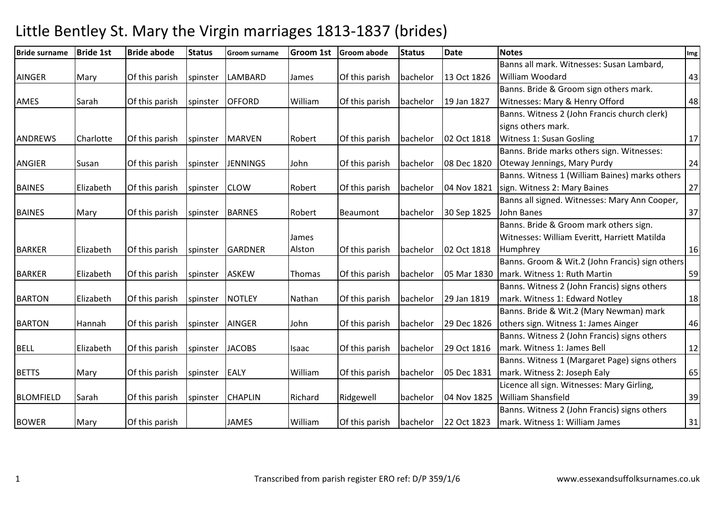| <b>Bride surname</b> | <b>Bride 1st</b> | <b>Bride abode</b> | <b>Status</b> | Groom surname   | <b>Groom 1st</b> | <b>Groom abode</b> | <b>Status</b> | <b>Date</b> | <b>Notes</b>                                    | Img |
|----------------------|------------------|--------------------|---------------|-----------------|------------------|--------------------|---------------|-------------|-------------------------------------------------|-----|
|                      |                  |                    |               |                 |                  |                    |               |             | Banns all mark. Witnesses: Susan Lambard,       |     |
| AINGER               | Mary             | Of this parish     | spinster      | LAMBARD         | James            | Of this parish     | bachelor      | 13 Oct 1826 | <b>William Woodard</b>                          | 43  |
|                      |                  |                    |               |                 |                  |                    |               |             | Banns. Bride & Groom sign others mark.          |     |
| AMES                 | Sarah            | Of this parish     | spinster      | <b>OFFORD</b>   | William          | Of this parish     | bachelor      | 19 Jan 1827 | Witnesses: Mary & Henry Offord                  | 48  |
|                      |                  |                    |               |                 |                  |                    |               |             | Banns. Witness 2 (John Francis church clerk)    |     |
|                      |                  |                    |               |                 |                  |                    |               |             | signs others mark.                              |     |
| <b>ANDREWS</b>       | Charlotte        | Of this parish     | spinster      | <b>MARVEN</b>   | Robert           | Of this parish     | bachelor      | 02 Oct 1818 | <b>Witness 1: Susan Gosling</b>                 | 17  |
|                      |                  |                    |               |                 |                  |                    |               |             | Banns. Bride marks others sign. Witnesses:      |     |
| <b>ANGIER</b>        | Susan            | Of this parish     | spinster      | <b>JENNINGS</b> | John             | Of this parish     | bachelor      | 08 Dec 1820 | Oteway Jennings, Mary Purdy                     | 24  |
|                      |                  |                    |               |                 |                  |                    |               |             | Banns. Witness 1 (William Baines) marks others  |     |
| <b>BAINES</b>        | Elizabeth        | Of this parish     | spinster      | <b>CLOW</b>     | Robert           | Of this parish     | bachelor      | 04 Nov 1821 | sign. Witness 2: Mary Baines                    | 27  |
|                      |                  |                    |               |                 |                  |                    |               |             | Banns all signed. Witnesses: Mary Ann Cooper,   |     |
| <b>BAINES</b>        | Mary             | Of this parish     | spinster      | <b>BARNES</b>   | Robert           | Beaumont           | bachelor      | 30 Sep 1825 | John Banes                                      | 37  |
|                      |                  |                    |               |                 |                  |                    |               |             | Banns. Bride & Groom mark others sign.          |     |
|                      |                  |                    |               |                 | James            |                    |               |             | Witnesses: William Everitt, Harriett Matilda    |     |
| <b>BARKER</b>        | Elizabeth        | Of this parish     | spinster      | <b>GARDNER</b>  | Alston           | Of this parish     | bachelor      | 02 Oct 1818 | Humphrey                                        | 16  |
|                      |                  |                    |               |                 |                  |                    |               |             | Banns. Groom & Wit.2 (John Francis) sign others |     |
| <b>BARKER</b>        | Elizabeth        | Of this parish     | spinster      | <b>ASKEW</b>    | Thomas           | Of this parish     | bachelor      | 05 Mar 1830 | mark. Witness 1: Ruth Martin                    | 59  |
|                      |                  |                    |               |                 |                  |                    |               |             | Banns. Witness 2 (John Francis) signs others    |     |
| <b>BARTON</b>        | Elizabeth        | Of this parish     | spinster      | <b>NOTLEY</b>   | Nathan           | Of this parish     | bachelor      | 29 Jan 1819 | mark. Witness 1: Edward Notley                  | 18  |
|                      |                  |                    |               |                 |                  |                    |               |             | Banns. Bride & Wit.2 (Mary Newman) mark         |     |
| <b>BARTON</b>        | Hannah           | Of this parish     | spinster      | <b>AINGER</b>   | John             | Of this parish     | bachelor      | 29 Dec 1826 | others sign. Witness 1: James Ainger            | 46  |
|                      |                  |                    |               |                 |                  |                    |               |             | Banns. Witness 2 (John Francis) signs others    |     |
| <b>BELL</b>          | Elizabeth        | Of this parish     | spinster      | <b>JACOBS</b>   | Isaac            | Of this parish     | bachelor      | 29 Oct 1816 | mark. Witness 1: James Bell                     | 12  |
|                      |                  |                    |               |                 |                  |                    |               |             | Banns. Witness 1 (Margaret Page) signs others   |     |
| <b>BETTS</b>         | Mary             | Of this parish     | spinster      | <b>EALY</b>     | William          | Of this parish     | bachelor      | 05 Dec 1831 | mark. Witness 2: Joseph Ealy                    | 65  |
|                      |                  |                    |               |                 |                  |                    |               |             | Licence all sign. Witnesses: Mary Girling,      |     |
| <b>BLOMFIELD</b>     | Sarah            | Of this parish     | spinster      | <b>CHAPLIN</b>  | Richard          | Ridgewell          | bachelor      | 04 Nov 1825 | <b>William Shansfield</b>                       | 39  |
|                      |                  |                    |               |                 |                  |                    |               |             | Banns. Witness 2 (John Francis) signs others    |     |
| <b>BOWER</b>         | Mary             | Of this parish     |               | <b>JAMES</b>    | William          | Of this parish     | bachelor      | 22 Oct 1823 | mark. Witness 1: William James                  | 31  |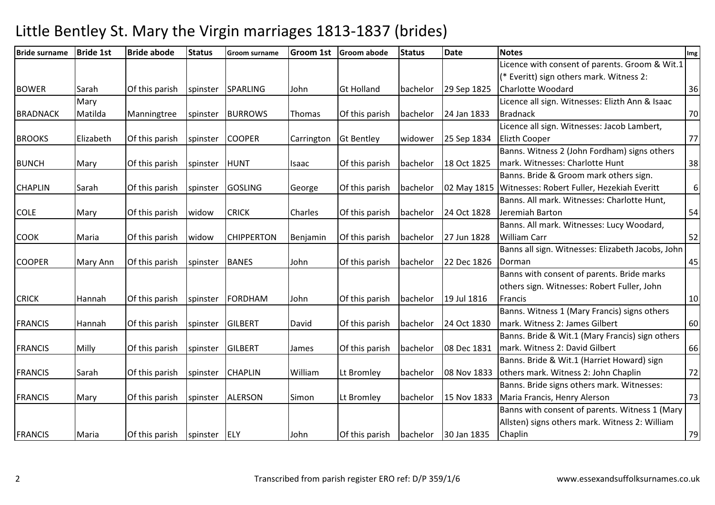| <b>Bride surname</b> | <b>Bride 1st</b> | <b>Bride abode</b> | <b>Status</b> | Groom surname     | <b>Groom 1st</b> | <b>Groom abode</b> | <b>Status</b> | <b>Date</b> | <b>Notes</b>                                      | Img |
|----------------------|------------------|--------------------|---------------|-------------------|------------------|--------------------|---------------|-------------|---------------------------------------------------|-----|
|                      |                  |                    |               |                   |                  |                    |               |             | Licence with consent of parents. Groom & Wit.1    |     |
|                      |                  |                    |               |                   |                  |                    |               |             | (* Everitt) sign others mark. Witness 2:          |     |
| <b>BOWER</b>         | Sarah            | Of this parish     | spinster      | <b>SPARLING</b>   | John             | <b>Gt Holland</b>  | bachelor      | 29 Sep 1825 | <b>Charlotte Woodard</b>                          | 36  |
|                      | Mary             |                    |               |                   |                  |                    |               |             | Licence all sign. Witnesses: Elizth Ann & Isaac   |     |
| <b>BRADNACK</b>      | Matilda          | Manningtree        | spinster      | <b>BURROWS</b>    | Thomas           | Of this parish     | bachelor      | 24 Jan 1833 | <b>Bradnack</b>                                   | 70  |
|                      |                  |                    |               |                   |                  |                    |               |             | Licence all sign. Witnesses: Jacob Lambert,       |     |
| <b>BROOKS</b>        | Elizabeth        | Of this parish     | spinster      | <b>COOPER</b>     | Carrington       | <b>Gt Bentley</b>  | widower       | 25 Sep 1834 | <b>Elizth Cooper</b>                              | 77  |
|                      |                  |                    |               |                   |                  |                    |               |             | Banns. Witness 2 (John Fordham) signs others      |     |
| <b>BUNCH</b>         | Mary             | Of this parish     | spinster      | <b>HUNT</b>       | Isaac            | Of this parish     | bachelor      | 18 Oct 1825 | mark. Witnesses: Charlotte Hunt                   | 38  |
|                      |                  |                    |               |                   |                  |                    |               |             | Banns. Bride & Groom mark others sign.            |     |
| <b>CHAPLIN</b>       | Sarah            | Of this parish     | spinster      | <b>GOSLING</b>    | George           | Of this parish     | bachelor      | 02 May 1815 | Witnesses: Robert Fuller, Hezekiah Everitt        | 6   |
|                      |                  |                    |               |                   |                  |                    |               |             | Banns. All mark. Witnesses: Charlotte Hunt,       |     |
| <b>COLE</b>          | Mary             | Of this parish     | widow         | <b>CRICK</b>      | Charles          | Of this parish     | bachelor      | 24 Oct 1828 | Jeremiah Barton                                   | 54  |
|                      |                  |                    |               |                   |                  |                    |               |             | Banns. All mark. Witnesses: Lucy Woodard,         |     |
| <b>COOK</b>          | Maria            | Of this parish     | widow         | <b>CHIPPERTON</b> | Benjamin         | Of this parish     | bachelor      | 27 Jun 1828 | <b>William Carr</b>                               | 52  |
|                      |                  |                    |               |                   |                  |                    |               |             | Banns all sign. Witnesses: Elizabeth Jacobs, John |     |
| <b>COOPER</b>        | Mary Ann         | Of this parish     | spinster      | <b>BANES</b>      | John             | Of this parish     | bachelor      | 22 Dec 1826 | Dorman                                            | 45  |
|                      |                  |                    |               |                   |                  |                    |               |             | Banns with consent of parents. Bride marks        |     |
|                      |                  |                    |               |                   |                  |                    |               |             | others sign. Witnesses: Robert Fuller, John       |     |
| <b>CRICK</b>         | Hannah           | Of this parish     | spinster      | <b>FORDHAM</b>    | John             | Of this parish     | bachelor      | 19 Jul 1816 | Francis                                           | 10  |
|                      |                  |                    |               |                   |                  |                    |               |             | Banns. Witness 1 (Mary Francis) signs others      |     |
| <b>FRANCIS</b>       | Hannah           | Of this parish     | spinster      | <b>GILBERT</b>    | David            | Of this parish     | bachelor      | 24 Oct 1830 | mark. Witness 2: James Gilbert                    | 60  |
|                      |                  |                    |               |                   |                  |                    |               |             | Banns. Bride & Wit.1 (Mary Francis) sign others   |     |
| <b>FRANCIS</b>       | Milly            | Of this parish     | spinster      | <b>GILBERT</b>    | James            | Of this parish     | bachelor      | 08 Dec 1831 | mark. Witness 2: David Gilbert                    | 66  |
|                      |                  |                    |               |                   |                  |                    |               |             | Banns. Bride & Wit.1 (Harriet Howard) sign        |     |
| <b>FRANCIS</b>       | Sarah            | Of this parish     | spinster      | <b>CHAPLIN</b>    | William          | Lt Bromley         | bachelor      | 08 Nov 1833 | others mark. Witness 2: John Chaplin              | 72  |
|                      |                  |                    |               |                   |                  |                    |               |             | Banns. Bride signs others mark. Witnesses:        |     |
| <b>FRANCIS</b>       | Mary             | Of this parish     | spinster      | <b>ALERSON</b>    | Simon            | Lt Bromley         | bachelor      | 15 Nov 1833 | Maria Francis, Henry Alerson                      | 73  |
|                      |                  |                    |               |                   |                  |                    |               |             | Banns with consent of parents. Witness 1 (Mary    |     |
|                      |                  |                    |               |                   |                  |                    |               |             | Allsten) signs others mark. Witness 2: William    |     |
| <b>FRANCIS</b>       | Maria            | Of this parish     | spinster      | <b>ELY</b>        | John             | Of this parish     | bachelor      | 30 Jan 1835 | Chaplin                                           | 79  |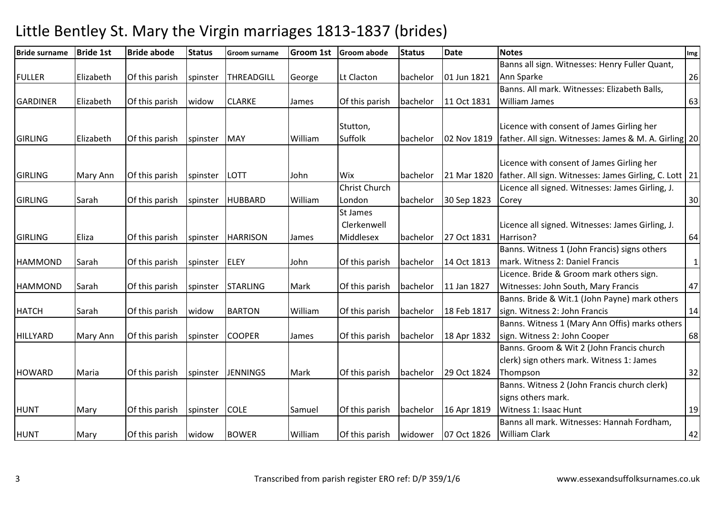| <b>Bride surname</b> | <b>Bride 1st</b> | <b>Bride abode</b> | <b>Status</b> | <b>Groom surname</b> | <b>Groom 1st</b> | <b>Groom abode</b>   | <b>Status</b> | <b>Date</b> | <b>Notes</b>                                             | Img          |
|----------------------|------------------|--------------------|---------------|----------------------|------------------|----------------------|---------------|-------------|----------------------------------------------------------|--------------|
|                      |                  |                    |               |                      |                  |                      |               |             | Banns all sign. Witnesses: Henry Fuller Quant,           |              |
| <b>FULLER</b>        | Elizabeth        | Of this parish     | spinster      | THREADGILL           | George           | Lt Clacton           | bachelor      | 01 Jun 1821 | Ann Sparke                                               | 26           |
|                      |                  |                    |               |                      |                  |                      |               |             | Banns. All mark. Witnesses: Elizabeth Balls,             |              |
| <b>GARDINER</b>      | Elizabeth        | Of this parish     | widow         | <b>CLARKE</b>        | James            | Of this parish       | bachelor      | 11 Oct 1831 | <b>William James</b>                                     | 63           |
|                      |                  |                    |               |                      |                  |                      |               |             |                                                          |              |
|                      |                  |                    |               |                      |                  | Stutton,             |               |             | Licence with consent of James Girling her                |              |
| <b>GIRLING</b>       | Elizabeth        | Of this parish     | spinster      | <b>MAY</b>           | William          | Suffolk              | bachelor      | 02 Nov 1819 | father. All sign. Witnesses: James & M. A. Girling 20    |              |
|                      |                  |                    |               |                      |                  |                      |               |             |                                                          |              |
|                      |                  |                    |               |                      |                  |                      |               |             | Licence with consent of James Girling her                |              |
| <b>GIRLING</b>       | Mary Ann         | Of this parish     | spinster      | LOTT                 | John             | Wix                  | bachelor      | 21 Mar 1820 | father. All sign. Witnesses: James Girling, C. Lott   21 |              |
|                      |                  |                    |               |                      |                  | <b>Christ Church</b> |               |             | Licence all signed. Witnesses: James Girling, J.         |              |
| <b>GIRLING</b>       | Sarah            | Of this parish     | spinster      | <b>HUBBARD</b>       | William          | London               | bachelor      | 30 Sep 1823 | Corey                                                    | 30           |
|                      |                  |                    |               |                      |                  | St James             |               |             |                                                          |              |
|                      |                  |                    |               |                      |                  | Clerkenwell          |               |             | Licence all signed. Witnesses: James Girling, J.         |              |
| <b>GIRLING</b>       | Eliza            | Of this parish     | spinster      | <b>HARRISON</b>      | James            | Middlesex            | bachelor      | 27 Oct 1831 | Harrison?                                                | 64           |
|                      |                  |                    |               |                      |                  |                      |               |             | Banns. Witness 1 (John Francis) signs others             |              |
| <b>HAMMOND</b>       | Sarah            | Of this parish     | spinster      | <b>ELEY</b>          | John             | Of this parish       | bachelor      | 14 Oct 1813 | mark. Witness 2: Daniel Francis                          | $\mathbf{1}$ |
|                      |                  |                    |               |                      |                  |                      |               |             | Licence. Bride & Groom mark others sign.                 |              |
| <b>HAMMOND</b>       | Sarah            | Of this parish     | spinster      | <b>STARLING</b>      | Mark             | Of this parish       | bachelor      | 11 Jan 1827 | Witnesses: John South, Mary Francis                      | 47           |
|                      |                  |                    |               |                      |                  |                      |               |             | Banns. Bride & Wit.1 (John Payne) mark others            |              |
| <b>HATCH</b>         | Sarah            | Of this parish     | widow         | <b>BARTON</b>        | William          | Of this parish       | bachelor      | 18 Feb 1817 | sign. Witness 2: John Francis                            | 14           |
|                      |                  |                    |               |                      |                  |                      |               |             | Banns. Witness 1 (Mary Ann Offis) marks others           |              |
| HILLYARD             | Mary Ann         | Of this parish     | spinster      | <b>COOPER</b>        | James            | Of this parish       | bachelor      | 18 Apr 1832 | sign. Witness 2: John Cooper                             | 68           |
|                      |                  |                    |               |                      |                  |                      |               |             | Banns. Groom & Wit 2 (John Francis church                |              |
|                      |                  |                    |               |                      |                  |                      |               |             | clerk) sign others mark. Witness 1: James                |              |
| <b>HOWARD</b>        | Maria            | Of this parish     | spinster      | <b>JENNINGS</b>      | Mark             | Of this parish       | bachelor      | 29 Oct 1824 | Thompson                                                 | 32           |
|                      |                  |                    |               |                      |                  |                      |               |             | Banns. Witness 2 (John Francis church clerk)             |              |
|                      |                  |                    |               |                      |                  |                      |               |             | signs others mark.                                       |              |
| <b>HUNT</b>          | Mary             | Of this parish     | spinster      | <b>COLE</b>          | Samuel           | Of this parish       | bachelor      | 16 Apr 1819 | Witness 1: Isaac Hunt                                    | 19           |
|                      |                  |                    |               |                      |                  |                      |               |             | Banns all mark. Witnesses: Hannah Fordham,               |              |
| <b>HUNT</b>          | Mary             | Of this parish     | widow         | <b>BOWER</b>         | William          | Of this parish       | widower       | 07 Oct 1826 | <b>William Clark</b>                                     | 42           |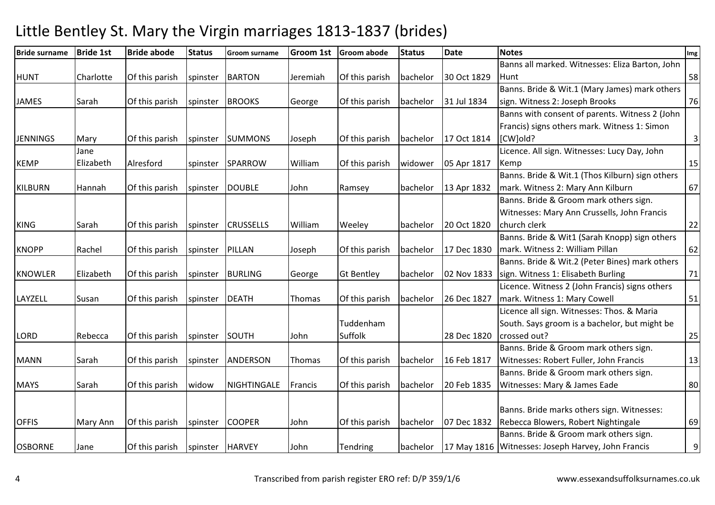| <b>Bride surname</b> | <b>Bride 1st</b> | <b>Bride abode</b> | <b>Status</b> | <b>Groom surname</b> | <b>Groom 1st</b> | <b>Groom abode</b> | <b>Status</b> | <b>Date</b> | <b>Notes</b>                                       | Img |
|----------------------|------------------|--------------------|---------------|----------------------|------------------|--------------------|---------------|-------------|----------------------------------------------------|-----|
|                      |                  |                    |               |                      |                  |                    |               |             | Banns all marked. Witnesses: Eliza Barton, John    |     |
| <b>HUNT</b>          | Charlotte        | Of this parish     | spinster      | <b>BARTON</b>        | Jeremiah         | Of this parish     | bachelor      | 30 Oct 1829 | l Hunt                                             | 58  |
|                      |                  |                    |               |                      |                  |                    |               |             | Banns. Bride & Wit.1 (Mary James) mark others      |     |
| <b>JAMES</b>         | Sarah            | Of this parish     | spinster      | <b>BROOKS</b>        | George           | Of this parish     | bachelor      | 31 Jul 1834 | sign. Witness 2: Joseph Brooks                     | 76  |
|                      |                  |                    |               |                      |                  |                    |               |             | Banns with consent of parents. Witness 2 (John     |     |
|                      |                  |                    |               |                      |                  |                    |               |             | Francis) signs others mark. Witness 1: Simon       |     |
| <b>JENNINGS</b>      | Mary             | Of this parish     | spinster      | <b>SUMMONS</b>       | Joseph           | Of this parish     | bachelor      | 17 Oct 1814 | [CW]old?                                           | 3   |
|                      | Jane             |                    |               |                      |                  |                    |               |             | Licence. All sign. Witnesses: Lucy Day, John       |     |
| <b>KEMP</b>          | Elizabeth        | Alresford          | spinster      | SPARROW              | William          | Of this parish     | widower       | 05 Apr 1817 | Kemp                                               | 15  |
|                      |                  |                    |               |                      |                  |                    |               |             | Banns. Bride & Wit.1 (Thos Kilburn) sign others    |     |
| <b>KILBURN</b>       | Hannah           | Of this parish     | spinster      | <b>DOUBLE</b>        | John             | Ramsey             | bachelor      | 13 Apr 1832 | mark. Witness 2: Mary Ann Kilburn                  | 67  |
|                      |                  |                    |               |                      |                  |                    |               |             | Banns. Bride & Groom mark others sign.             |     |
|                      |                  |                    |               |                      |                  |                    |               |             | Witnesses: Mary Ann Crussells, John Francis        |     |
| <b>KING</b>          | Sarah            | Of this parish     | spinster      | <b>CRUSSELLS</b>     | William          | Weeley             | bachelor      | 20 Oct 1820 | church clerk                                       | 22  |
|                      |                  |                    |               |                      |                  |                    |               |             | Banns. Bride & Wit1 (Sarah Knopp) sign others      |     |
| <b>KNOPP</b>         | Rachel           | Of this parish     | spinster      | PILLAN               | Joseph           | Of this parish     | bachelor      | 17 Dec 1830 | mark. Witness 2: William Pillan                    | 62  |
|                      |                  |                    |               |                      |                  |                    |               |             | Banns. Bride & Wit.2 (Peter Bines) mark others     |     |
| <b>KNOWLER</b>       | Elizabeth        | Of this parish     | spinster      | <b>BURLING</b>       | George           | <b>Gt Bentley</b>  | bachelor      | 02 Nov 1833 | sign. Witness 1: Elisabeth Burling                 | 71  |
|                      |                  |                    |               |                      |                  |                    |               |             | Licence. Witness 2 (John Francis) signs others     |     |
| LAYZELL              | Susan            | Of this parish     | spinster      | <b>DEATH</b>         | Thomas           | Of this parish     | bachelor      | 26 Dec 1827 | mark. Witness 1: Mary Cowell                       | 51  |
|                      |                  |                    |               |                      |                  |                    |               |             | Licence all sign. Witnesses: Thos. & Maria         |     |
|                      |                  |                    |               |                      |                  | Tuddenham          |               |             | South. Says groom is a bachelor, but might be      |     |
| <b>LORD</b>          | Rebecca          | Of this parish     | spinster      | SOUTH                | John             | Suffolk            |               | 28 Dec 1820 | crossed out?                                       | 25  |
|                      |                  |                    |               |                      |                  |                    |               |             | Banns. Bride & Groom mark others sign.             |     |
| <b>MANN</b>          | Sarah            | Of this parish     | spinster      | <b>ANDERSON</b>      | Thomas           | Of this parish     | bachelor      | 16 Feb 1817 | Witnesses: Robert Fuller, John Francis             | 13  |
|                      |                  |                    |               |                      |                  |                    |               |             | Banns. Bride & Groom mark others sign.             |     |
| <b>MAYS</b>          | Sarah            | Of this parish     | widow         | NIGHTINGALE          | Francis          | Of this parish     | bachelor      | 20 Feb 1835 | Witnesses: Mary & James Eade                       | 80  |
|                      |                  |                    |               |                      |                  |                    |               |             |                                                    |     |
|                      |                  |                    |               |                      |                  |                    |               |             | Banns. Bride marks others sign. Witnesses:         |     |
| <b>OFFIS</b>         | Mary Ann         | Of this parish     | spinster      | <b>COOPER</b>        | John             | Of this parish     | bachelor      | 07 Dec 1832 | Rebecca Blowers, Robert Nightingale                | 69  |
|                      |                  |                    |               |                      |                  |                    |               |             | Banns. Bride & Groom mark others sign.             |     |
| <b>OSBORNE</b>       | Jane             | Of this parish     | spinster      | <b>HARVEY</b>        | John             | Tendring           | bachelor      |             | 17 May 1816 Witnesses: Joseph Harvey, John Francis | 9   |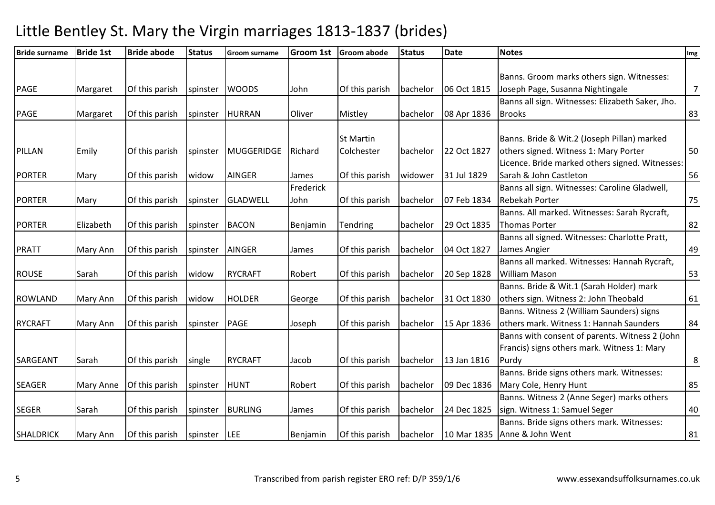| <b>Bride surname</b> | <b>Bride 1st</b> | <b>Bride abode</b> | <b>Status</b> | <b>Groom surname</b> | <b>Groom 1st</b> | <b>Groom abode</b> | <b>Status</b> | <b>Date</b> | <b>Notes</b>                                     | Img            |
|----------------------|------------------|--------------------|---------------|----------------------|------------------|--------------------|---------------|-------------|--------------------------------------------------|----------------|
|                      |                  |                    |               |                      |                  |                    |               |             |                                                  |                |
|                      |                  |                    |               |                      |                  |                    |               |             | Banns. Groom marks others sign. Witnesses:       |                |
| <b>PAGE</b>          | Margaret         | Of this parish     | spinster      | <b>WOODS</b>         | John             | Of this parish     | bachelor      | 06 Oct 1815 | Joseph Page, Susanna Nightingale                 | $\overline{7}$ |
|                      |                  |                    |               |                      |                  |                    |               |             | Banns all sign. Witnesses: Elizabeth Saker, Jho. |                |
| <b>PAGE</b>          | Margaret         | Of this parish     | spinster      | <b>HURRAN</b>        | Oliver           | Mistley            | bachelor      | 08 Apr 1836 | <b>Brooks</b>                                    | 83             |
|                      |                  |                    |               |                      |                  | <b>St Martin</b>   |               |             | Banns. Bride & Wit.2 (Joseph Pillan) marked      |                |
| PILLAN               | Emily            | Of this parish     | spinster      | MUGGERIDGE           | Richard          | Colchester         | bachelor      | 22 Oct 1827 | others signed. Witness 1: Mary Porter            | 50             |
|                      |                  |                    |               |                      |                  |                    |               |             | Licence. Bride marked others signed. Witnesses:  |                |
| <b>PORTER</b>        | Mary             | Of this parish     | widow         | <b>AINGER</b>        | James            | Of this parish     | widower       | 31 Jul 1829 | Sarah & John Castleton                           | 56             |
|                      |                  |                    |               |                      | Frederick        |                    |               |             | Banns all sign. Witnesses: Caroline Gladwell,    |                |
| <b>PORTER</b>        | Mary             | Of this parish     | spinster      | <b>GLADWELL</b>      | John             | Of this parish     | bachelor      | 07 Feb 1834 | <b>Rebekah Porter</b>                            | 75             |
|                      |                  |                    |               |                      |                  |                    |               |             | Banns. All marked. Witnesses: Sarah Rycraft,     |                |
| <b>PORTER</b>        | Elizabeth        | Of this parish     | spinster      | <b>BACON</b>         | Benjamin         | Tendring           | bachelor      | 29 Oct 1835 | <b>Thomas Porter</b>                             | 82             |
|                      |                  |                    |               |                      |                  |                    |               |             | Banns all signed. Witnesses: Charlotte Pratt,    |                |
| <b>PRATT</b>         | Mary Ann         | Of this parish     | spinster      | <b>AINGER</b>        | James            | Of this parish     | bachelor      | 04 Oct 1827 | James Angier                                     | 49             |
|                      |                  |                    |               |                      |                  |                    |               |             | Banns all marked. Witnesses: Hannah Rycraft,     |                |
| <b>ROUSE</b>         | Sarah            | Of this parish     | widow         | <b>RYCRAFT</b>       | Robert           | Of this parish     | bachelor      | 20 Sep 1828 | <b>William Mason</b>                             | 53             |
|                      |                  |                    |               |                      |                  |                    |               |             | Banns. Bride & Wit.1 (Sarah Holder) mark         |                |
| <b>ROWLAND</b>       | Mary Ann         | Of this parish     | widow         | <b>HOLDER</b>        | George           | Of this parish     | bachelor      | 31 Oct 1830 | others sign. Witness 2: John Theobald            | 61             |
|                      |                  |                    |               |                      |                  |                    |               |             | Banns. Witness 2 (William Saunders) signs        |                |
| <b>RYCRAFT</b>       | Mary Ann         | Of this parish     | spinster      | PAGE                 | Joseph           | Of this parish     | bachelor      | 15 Apr 1836 | others mark. Witness 1: Hannah Saunders          | 84             |
|                      |                  |                    |               |                      |                  |                    |               |             | Banns with consent of parents. Witness 2 (John   |                |
|                      |                  |                    |               |                      |                  |                    |               |             | Francis) signs others mark. Witness 1: Mary      |                |
| SARGEANT             | Sarah            | Of this parish     | single        | <b>RYCRAFT</b>       | Jacob            | Of this parish     | bachelor      | 13 Jan 1816 | Purdy                                            | $\,8\,$        |
|                      |                  |                    |               |                      |                  |                    |               |             | Banns. Bride signs others mark. Witnesses:       |                |
| SEAGER               | Mary Anne        | Of this parish     | spinster      | <b>HUNT</b>          | Robert           | Of this parish     | bachelor      | 09 Dec 1836 | Mary Cole, Henry Hunt                            | 85             |
|                      |                  |                    |               |                      |                  |                    |               |             | Banns. Witness 2 (Anne Seger) marks others       |                |
| <b>SEGER</b>         | Sarah            | Of this parish     | spinster      | <b>BURLING</b>       | James            | Of this parish     | bachelor      | 24 Dec 1825 | sign. Witness 1: Samuel Seger                    | 40             |
|                      |                  |                    |               |                      |                  |                    |               |             | Banns. Bride signs others mark. Witnesses:       |                |
| <b>SHALDRICK</b>     | Mary Ann         | Of this parish     | spinster      | <b>LEE</b>           | Benjamin         | Of this parish     | bachelor      | 10 Mar 1835 | Anne & John Went                                 | 81             |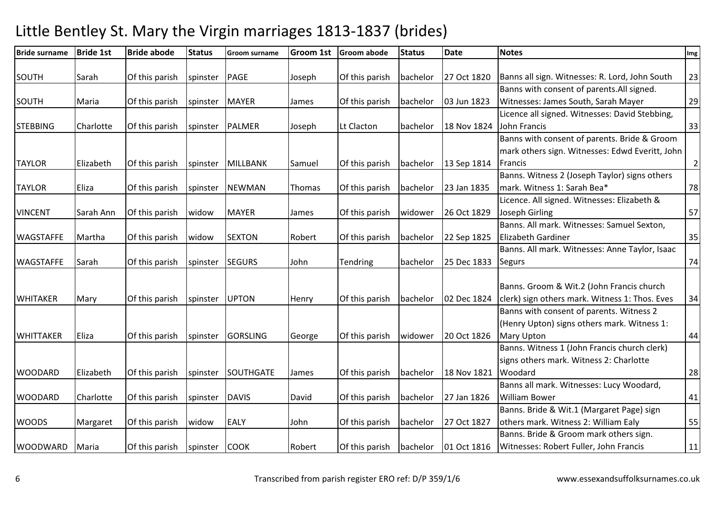| <b>Bride surname</b> | <b>Bride 1st</b> | <b>Bride abode</b> | <b>Status</b> | <b>Groom surname</b> | <b>Groom 1st</b> | Groom abode    | <b>Status</b> | <b>Date</b> | <b>Notes</b>                                    | Img            |
|----------------------|------------------|--------------------|---------------|----------------------|------------------|----------------|---------------|-------------|-------------------------------------------------|----------------|
| SOUTH                | Sarah            |                    | spinster      | <b>PAGE</b>          | Joseph           |                | bachelor      | 27 Oct 1820 | Banns all sign. Witnesses: R. Lord, John South  | 23             |
|                      |                  | Of this parish     |               |                      |                  | Of this parish |               |             | Banns with consent of parents. All signed.      |                |
|                      |                  |                    |               |                      |                  |                |               |             |                                                 |                |
| <b>SOUTH</b>         | Maria            | Of this parish     | spinster      | <b>MAYER</b>         | James            | Of this parish | bachelor      | 03 Jun 1823 | Witnesses: James South, Sarah Mayer             | 29             |
|                      |                  |                    |               |                      |                  |                |               |             | Licence all signed. Witnesses: David Stebbing,  |                |
| <b>STEBBING</b>      | Charlotte        | Of this parish     | spinster      | <b>PALMER</b>        | Joseph           | Lt Clacton     | bachelor      | 18 Nov 1824 | John Francis                                    | 33             |
|                      |                  |                    |               |                      |                  |                |               |             | Banns with consent of parents. Bride & Groom    |                |
|                      |                  |                    |               |                      |                  |                |               |             | mark others sign. Witnesses: Edwd Everitt, John |                |
| <b>TAYLOR</b>        | Elizabeth        | Of this parish     | spinster      | <b>MILLBANK</b>      | Samuel           | Of this parish | bachelor      | 13 Sep 1814 | Francis                                         | $\overline{2}$ |
|                      |                  |                    |               |                      |                  |                |               |             | Banns. Witness 2 (Joseph Taylor) signs others   |                |
| <b>TAYLOR</b>        | Eliza            | Of this parish     | spinster      | <b>NEWMAN</b>        | Thomas           | Of this parish | bachelor      | 23 Jan 1835 | mark. Witness 1: Sarah Bea*                     | 78             |
|                      |                  |                    |               |                      |                  |                |               |             | Licence. All signed. Witnesses: Elizabeth &     |                |
| <b>VINCENT</b>       | Sarah Ann        | Of this parish     | widow         | <b>MAYER</b>         | James            | Of this parish | widower       | 26 Oct 1829 | Joseph Girling                                  | 57             |
|                      |                  |                    |               |                      |                  |                |               |             | Banns. All mark. Witnesses: Samuel Sexton,      |                |
| <b>WAGSTAFFE</b>     | Martha           | Of this parish     | widow         | <b>SEXTON</b>        | Robert           | Of this parish | bachelor      | 22 Sep 1825 | <b>Elizabeth Gardiner</b>                       | 35             |
|                      |                  |                    |               |                      |                  |                |               |             | Banns. All mark. Witnesses: Anne Taylor, Isaac  |                |
| <b>WAGSTAFFE</b>     | Sarah            | Of this parish     | spinster      | <b>SEGURS</b>        | John             | Tendring       | bachelor      | 25 Dec 1833 | <b>Segurs</b>                                   | 74             |
|                      |                  |                    |               |                      |                  |                |               |             |                                                 |                |
|                      |                  |                    |               |                      |                  |                |               |             | Banns. Groom & Wit.2 (John Francis church       |                |
| <b>WHITAKER</b>      | Mary             | Of this parish     | spinster      | <b>UPTON</b>         | Henry            | Of this parish | bachelor      | 02 Dec 1824 | clerk) sign others mark. Witness 1: Thos. Eves  | 34             |
|                      |                  |                    |               |                      |                  |                |               |             | Banns with consent of parents. Witness 2        |                |
|                      |                  |                    |               |                      |                  |                |               |             | (Henry Upton) signs others mark. Witness 1:     |                |
| <b>WHITTAKER</b>     | Eliza            | Of this parish     | spinster      | <b>GORSLING</b>      | George           | Of this parish | widower       | 20 Oct 1826 | <b>Mary Upton</b>                               | 44             |
|                      |                  |                    |               |                      |                  |                |               |             | Banns. Witness 1 (John Francis church clerk)    |                |
|                      |                  |                    |               |                      |                  |                |               |             | signs others mark. Witness 2: Charlotte         |                |
| <b>WOODARD</b>       | Elizabeth        | Of this parish     | spinster      | <b>SOUTHGATE</b>     | James            | Of this parish | bachelor      | 18 Nov 1821 | Woodard                                         | 28             |
|                      |                  |                    |               |                      |                  |                |               |             | Banns all mark. Witnesses: Lucy Woodard,        |                |
| <b>WOODARD</b>       | Charlotte        | Of this parish     | spinster      | <b>DAVIS</b>         | David            | Of this parish | bachelor      | 27 Jan 1826 | <b>William Bower</b>                            | 41             |
|                      |                  |                    |               |                      |                  |                |               |             | Banns. Bride & Wit.1 (Margaret Page) sign       |                |
| <b>WOODS</b>         | Margaret         | Of this parish     | widow         | <b>EALY</b>          | John             | Of this parish | bachelor      | 27 Oct 1827 | others mark. Witness 2: William Ealy            | 55             |
|                      |                  |                    |               |                      |                  |                |               |             | Banns. Bride & Groom mark others sign.          |                |
| <b>WOODWARD</b>      | Maria            | Of this parish     | spinster      | <b>COOK</b>          | Robert           | Of this parish | bachelor      | 01 Oct 1816 | Witnesses: Robert Fuller, John Francis          | 11             |
|                      |                  |                    |               |                      |                  |                |               |             |                                                 |                |